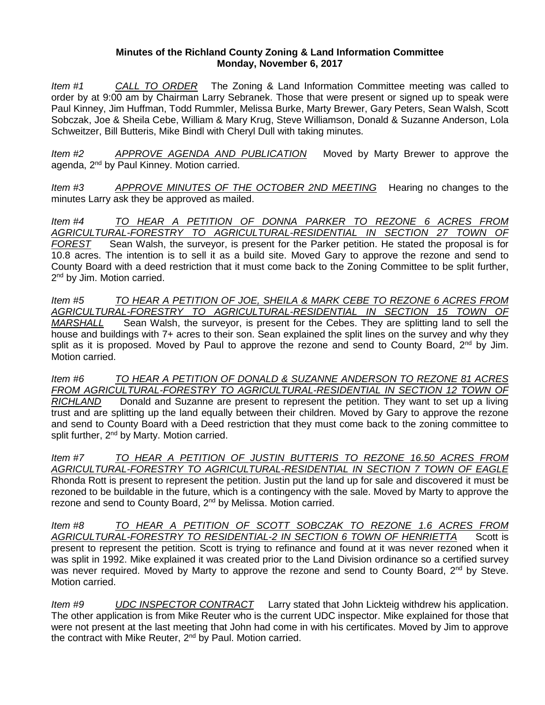## **Minutes of the Richland County Zoning & Land Information Committee Monday, November 6, 2017**

*Item #1 CALL TO ORDER* The Zoning & Land Information Committee meeting was called to order by at 9:00 am by Chairman Larry Sebranek. Those that were present or signed up to speak were Paul Kinney, Jim Huffman, Todd Rummler, Melissa Burke, Marty Brewer, Gary Peters, Sean Walsh, Scott Sobczak, Joe & Sheila Cebe, William & Mary Krug, Steve Williamson, Donald & Suzanne Anderson, Lola Schweitzer, Bill Butteris, Mike Bindl with Cheryl Dull with taking minutes.

*Item #2 APPROVE AGENDA AND PUBLICATION* Moved by Marty Brewer to approve the agenda, 2<sup>nd</sup> by Paul Kinney. Motion carried.

*Item #3 APPROVE MINUTES OF THE OCTOBER 2ND MEETING* Hearing no changes to the minutes Larry ask they be approved as mailed.

*Item #4 TO HEAR A PETITION OF DONNA PARKER TO REZONE 6 ACRES FROM AGRICULTURAL-FORESTRY TO AGRICULTURAL-RESIDENTIAL IN SECTION 27 TOWN OF FOREST* Sean Walsh, the surveyor, is present for the Parker petition. He stated the proposal is for 10.8 acres. The intention is to sell it as a build site. Moved Gary to approve the rezone and send to County Board with a deed restriction that it must come back to the Zoning Committee to be split further, 2<sup>nd</sup> by Jim. Motion carried.

*Item #5 TO HEAR A PETITION OF JOE, SHEILA & MARK CEBE TO REZONE 6 ACRES FROM AGRICULTURAL-FORESTRY TO AGRICULTURAL-RESIDENTIAL IN SECTION 15 TOWN OF MARSHALL* Sean Walsh, the surveyor, is present for the Cebes. They are splitting land to sell the house and buildings with 7+ acres to their son. Sean explained the split lines on the survey and why they split as it is proposed. Moved by Paul to approve the rezone and send to County Board, 2<sup>nd</sup> by Jim. Motion carried.

*Item #6 TO HEAR A PETITION OF DONALD & SUZANNE ANDERSON TO REZONE 81 ACRES FROM AGRICULTURAL-FORESTRY TO AGRICULTURAL-RESIDENTIAL IN SECTION 12 TOWN OF RICHLAND* Donald and Suzanne are present to represent the petition. They want to set up a living trust and are splitting up the land equally between their children. Moved by Gary to approve the rezone and send to County Board with a Deed restriction that they must come back to the zoning committee to split further, 2<sup>nd</sup> by Marty. Motion carried.

*Item #7 TO HEAR A PETITION OF JUSTIN BUTTERIS TO REZONE 16.50 ACRES FROM AGRICULTURAL-FORESTRY TO AGRICULTURAL-RESIDENTIAL IN SECTION 7 TOWN OF EAGLE* Rhonda Rott is present to represent the petition. Justin put the land up for sale and discovered it must be rezoned to be buildable in the future, which is a contingency with the sale. Moved by Marty to approve the rezone and send to County Board, 2<sup>nd</sup> by Melissa. Motion carried.

*Item #8 TO HEAR A PETITION OF SCOTT SOBCZAK TO REZONE 1.6 ACRES FROM AGRICULTURAL-FORESTRY TO RESIDENTIAL-2 IN SECTION 6 TOWN OF HENRIETTA* Scott is present to represent the petition. Scott is trying to refinance and found at it was never rezoned when it was split in 1992. Mike explained it was created prior to the Land Division ordinance so a certified survey was never required. Moved by Marty to approve the rezone and send to County Board, 2<sup>nd</sup> by Steve. Motion carried.

*Item #9 UDC INSPECTOR CONTRACT* Larry stated that John Lickteig withdrew his application. The other application is from Mike Reuter who is the current UDC inspector. Mike explained for those that were not present at the last meeting that John had come in with his certificates. Moved by Jim to approve the contract with Mike Reuter, 2<sup>nd</sup> by Paul. Motion carried.